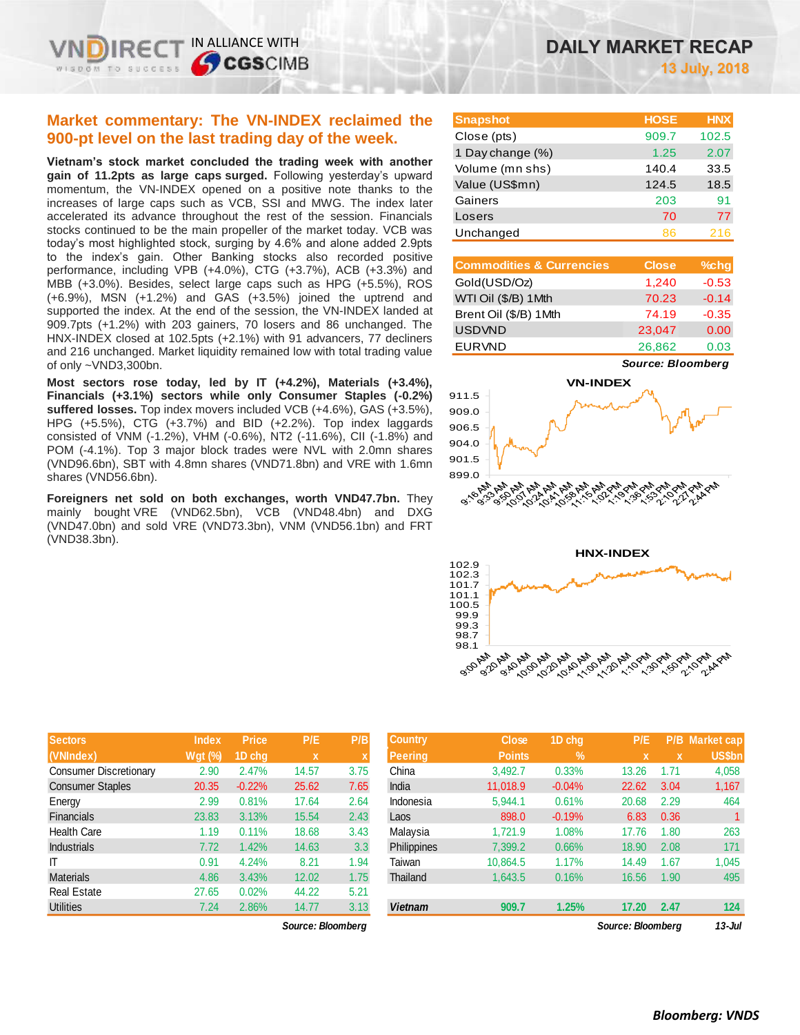# **Market commentary: The VN-INDEX reclaimed the 900-pt level on the last trading day of the week.**

**Vietnam's stock market concluded the trading week with another gain of 11.2pts as large caps surged.** Following yesterday's upward momentum, the VN-INDEX opened on a positive note thanks to the increases of large caps such as VCB, SSI and MWG. The index later accelerated its advance throughout the rest of the session. Financials stocks continued to be the main propeller of the market today. VCB was today's most highlighted stock, surging by 4.6% and alone added 2.9pts to the index's gain. Other Banking stocks also recorded positive performance, including VPB (+4.0%), CTG (+3.7%), ACB (+3.3%) and MBB (+3.0%). Besides, select large caps such as HPG (+5.5%), ROS (+6.9%), MSN (+1.2%) and GAS (+3.5%) joined the uptrend and supported the index. At the end of the session, the VN-INDEX landed at 909.7pts (+1.2%) with 203 gainers, 70 losers and 86 unchanged. The HNX-INDEX closed at 102.5pts (+2.1%) with 91 advancers, 77 decliners and 216 unchanged. Market liquidity remained low with total trading value of only ~VND3,300bn.

**Most sectors rose today, led by IT (+4.2%), Materials (+3.4%), Financials (+3.1%) sectors while only Consumer Staples (-0.2%) suffered losses.** Top index movers included VCB (+4.6%), GAS (+3.5%), HPG (+5.5%), CTG (+3.7%) and BID (+2.2%). Top index laggards consisted of VNM (-1.2%), VHM (-0.6%), NT2 (-11.6%), CII (-1.8%) and POM (-4.1%). Top 3 major block trades were NVL with 2.0mn shares (VND96.6bn), SBT with 4.8mn shares (VND71.8bn) and VRE with 1.6mn shares (VND56.6bn).

**Foreigners net sold on both exchanges, worth VND47.7bn.** They mainly bought VRE (VND62.5bn), VCB (VND48.4bn) and DXG (VND47.0bn) and sold VRE (VND73.3bn), VNM (VND56.1bn) and FRT (VND38.3bn).

| <b>Snapshot</b>  | <b>HOSE</b> | <b>HNX</b> |
|------------------|-------------|------------|
| Close (pts)      | 909.7       | 102.5      |
| 1 Day change (%) | 1.25        | 2.07       |
| Volume (mn shs)  | 140.4       | 33.5       |
| Value (US\$mn)   | 124.5       | 18.5       |
| Gainers          | 203         | 91         |
| Losers           | 70          | 77         |
| Unchanged        | 86          | 216        |

| <b>Commodities &amp; Currencies</b> | <b>Close</b> | $%$ chg |
|-------------------------------------|--------------|---------|
| Gold(USD/Oz)                        | 1,240        | $-0.53$ |
| WTI Oil (\$/B) 1Mth                 | 70.23        | $-0.14$ |
| Brent Oil (\$/B) 1Mth               | 74.19        | $-0.35$ |
| <b>USDVND</b>                       | 23,047       | 0.00    |
| <b>EURVND</b>                       | 26,862       | 0.03    |

*Source: Bloomberg*





| Sectors                       | Index          | <b>Price</b> | P/E         | P/B  | Country         | <b>Close</b>  | 1D chq   | P/E         | P/B  | Market cap    |
|-------------------------------|----------------|--------------|-------------|------|-----------------|---------------|----------|-------------|------|---------------|
| (VNIndex)                     | <b>Wgt (%)</b> | 1D chq       | $\mathbf x$ |      | Peering,        | <b>Points</b> | $\%$     | $\mathbf x$ |      | <b>US\$bn</b> |
| <b>Consumer Discretionary</b> | 2.90           | 2.47%        | 14.57       | 3.75 | China           | 3,492.7       | 0.33%    | 13.26       | 1.71 | 4,058         |
| <b>Consumer Staples</b>       | 20.35          | $-0.22%$     | 25.62       | 7.65 | India           | 11.018.9      | $-0.04%$ | 22.62       | 3.04 | 1,167         |
| Energy                        | 2.99           | 0.81%        | 17.64       | 2.64 | Indonesia       | 5,944.1       | 0.61%    | 20.68       | 2.29 | 464           |
| <b>Financials</b>             | 23.83          | 3.13%        | 15.54       | 2.43 | Laos            | 898.0         | $-0.19%$ | 6.83        | 0.36 |               |
| <b>Health Care</b>            | 1.19           | 0.11%        | 18.68       | 3.43 | Malaysia        | 1,721.9       | 1.08%    | 17.76       | 1.80 | 263           |
| <b>Industrials</b>            | 7.72           | 1.42%        | 14.63       | 3.3  | Philippines     | 7,399.2       | 0.66%    | 18.90       | 2.08 | 171           |
|                               | 0.91           | 4.24%        | 8.21        | .94  | Taiwan          | 10,864.5      | 1.17%    | 14.49       | 1.67 | 1,045         |
| <b>Materials</b>              | 4.86           | 3.43%        | 12.02       | 1.75 | <b>Thailand</b> | 1,643.5       | 0.16%    | 16.56       | 1.90 | 495           |
| <b>Real Estate</b>            | 27.65          | 0.02%        | 44.22       | 5.21 |                 |               |          |             |      |               |
| <b>Utilities</b>              | 7.24           | 2.86%        | 14.77       | 3.13 | <b>Vietnam</b>  | 909.7         | 1.25%    | 17.20       | 2.47 | 124           |

| шчсл           | .        | .           | .    | $\sim$ unu        | <b>UIUJU</b>  | אווט שו       | .     |      | $\blacksquare$ $\blacksquare$ $\blacksquare$ $\blacksquare$ $\blacksquare$ |
|----------------|----------|-------------|------|-------------------|---------------|---------------|-------|------|----------------------------------------------------------------------------|
| <b>Wgt (%)</b> | 1D cha   | $\mathbf x$ |      | <b>Peering</b>    | <b>Points</b> | $\frac{9}{6}$ | x     | x    | <b>US\$bn</b>                                                              |
| 2.90           | 2.47%    | 14.57       | 3.75 | China             | 3,492.7       | 0.33%         | 13.26 | 1.71 | 4,058                                                                      |
| 20.35          | $-0.22%$ | 25.62       | 7.65 | India             | 11,018.9      | $-0.04%$      | 22.62 | 3.04 | 1,167                                                                      |
| 2.99           | 0.81%    | 17.64       | 2.64 | Indonesia         | 5,944.1       | 0.61%         | 20.68 | 2.29 | 464                                                                        |
| 23.83          | 3.13%    | 15.54       | 2.43 | Laos              | 898.0         | $-0.19%$      | 6.83  | 0.36 |                                                                            |
| 1.19           | 0.11%    | 18.68       | 3.43 | Malaysia          | 1,721.9       | 1.08%         | 17.76 | 1.80 | 263                                                                        |
| 7.72           | 1.42%    | 14.63       | 3.3  | Philippines       | 7,399.2       | 0.66%         | 18.90 | 2.08 | 171                                                                        |
| 0.91           | 4.24%    | 8.21        | 1.94 | Taiwan            | 10.864.5      | 1.17%         | 14.49 | 1.67 | 1,045                                                                      |
| 4.86           | 3.43%    | 12.02       | 1.75 | Thailand          | 1,643.5       | 0.16%         | 16.56 | 1.90 | 495                                                                        |
| 27.65          | 0.02%    | 44.22       | 5.21 |                   |               |               |       |      |                                                                            |
| 7.24           | 2.86%    | 14.77       | 3.13 | <b>Vietnam</b>    | 909.7         | 1.25%         | 17.20 | 2.47 | 124                                                                        |
|                |          |             |      |                   |               |               |       |      | $13 -$ Jul                                                                 |
|                |          |             |      | Source: Bloomberg |               |               |       |      | Source: Bloomberg                                                          |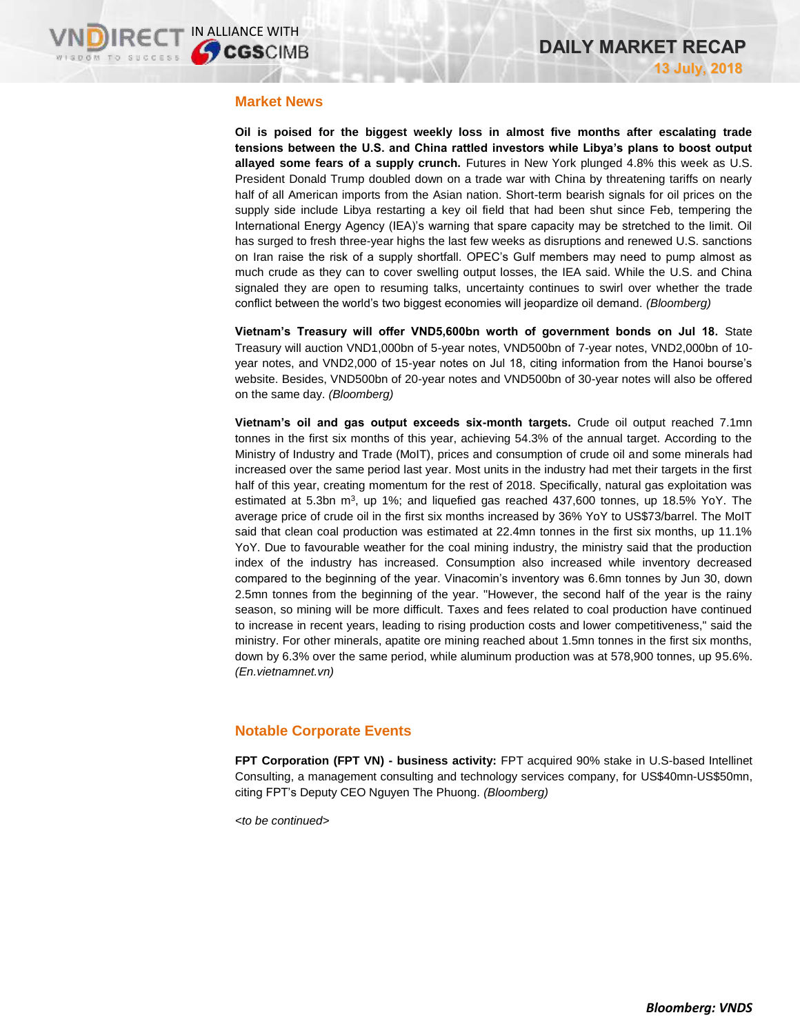#### **Market News**

**Oil is poised for the biggest weekly loss in almost five months after escalating trade tensions between the U.S. and China rattled investors while Libya's plans to boost output allayed some fears of a supply crunch.** Futures in New York plunged 4.8% this week as U.S. President Donald Trump doubled down on a trade war with China by threatening tariffs on nearly half of all American imports from the Asian nation. Short-term bearish signals for oil prices on the supply side include Libya restarting a key oil field that had been shut since Feb, tempering the International Energy Agency (IEA)'s warning that spare capacity may be stretched to the limit. Oil has surged to fresh three-year highs the last few weeks as disruptions and renewed U.S. sanctions on Iran raise the risk of a supply shortfall. OPEC's Gulf members may need to pump almost as much crude as they can to cover swelling output losses, the IEA said. While the U.S. and China signaled they are open to resuming talks, uncertainty continues to swirl over whether the trade conflict between the world's two biggest economies will jeopardize oil demand. *(Bloomberg)*

**Vietnam's Treasury will offer VND5,600bn worth of government bonds on Jul 18.** State Treasury will auction VND1,000bn of 5-year notes, VND500bn of 7-year notes, VND2,000bn of 10 year notes, and VND2,000 of 15-year notes on Jul 18, citing information from the Hanoi bourse's website. Besides, VND500bn of 20-year notes and VND500bn of 30-year notes will also be offered on the same day. *(Bloomberg)*

**Vietnam's oil and gas output exceeds six-month targets.** Crude oil output reached 7.1mn tonnes in the first six months of this year, achieving 54.3% of the annual target. According to the Ministry of Industry and Trade (MoIT), prices and consumption of crude oil and some minerals had increased over the same period last year. Most units in the industry had met their targets in the first half of this year, creating momentum for the rest of 2018. Specifically, natural gas exploitation was estimated at 5.3bn  $m^3$ , up 1%; and liquefied gas reached 437,600 tonnes, up 18.5% YoY. The average price of crude oil in the first six months increased by 36% YoY to US\$73/barrel. The MoIT said that clean coal production was estimated at 22.4mn tonnes in the first six months, up 11.1% YoY. Due to favourable weather for the coal mining industry, the ministry said that the production index of the industry has increased. Consumption also increased while inventory decreased compared to the beginning of the year. Vinacomin's inventory was 6.6mn tonnes by Jun 30, down 2.5mn tonnes from the beginning of the year. "However, the second half of the year is the rainy season, so mining will be more difficult. Taxes and fees related to coal production have continued to increase in recent years, leading to rising production costs and lower competitiveness," said the ministry. For other minerals, apatite ore mining reached about 1.5mn tonnes in the first six months, down by 6.3% over the same period, while aluminum production was at 578,900 tonnes, up 95.6%. *(En.vietnamnet.vn)*

## **Notable Corporate Events**

**FPT Corporation (FPT VN) - business activity:** FPT acquired 90% stake in U.S-based Intellinet Consulting, a management consulting and technology services company, for US\$40mn-US\$50mn, citing FPT's Deputy CEO Nguyen The Phuong. *(Bloomberg)*

*<to be continued>*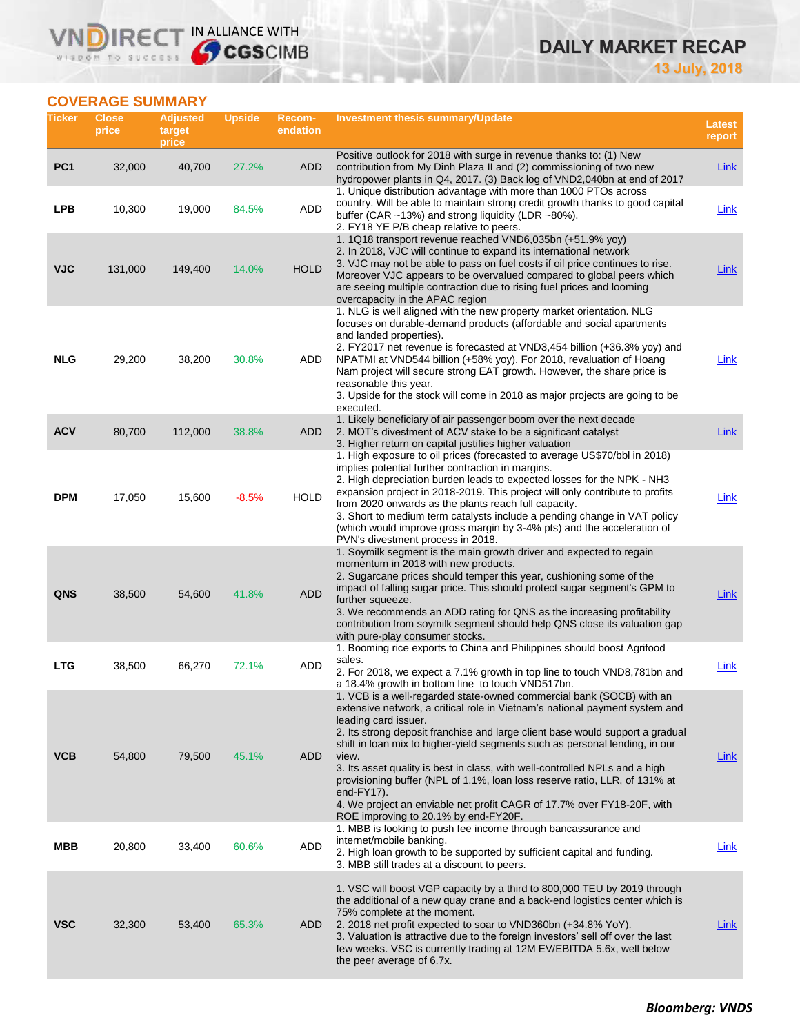# **DAILY MARKET RECAP**

**13 July, 2018**

# **COVERAGE SUMMARY**

WISDOM TO SUCCESS

VN

RECT IN ALLIANCE WITH

| Ticker          | <b>Close</b><br>price | <b>Adjusted</b><br>target<br>price | <b>Upside</b> | Recom-<br>endation | <b>Investment thesis summary/Update</b>                                                                                                                                                                                                                                                                                                                                                                                                                                                                                                                                                                                                               | Latest<br>report |
|-----------------|-----------------------|------------------------------------|---------------|--------------------|-------------------------------------------------------------------------------------------------------------------------------------------------------------------------------------------------------------------------------------------------------------------------------------------------------------------------------------------------------------------------------------------------------------------------------------------------------------------------------------------------------------------------------------------------------------------------------------------------------------------------------------------------------|------------------|
| PC <sub>1</sub> | 32,000                | 40,700                             | 27.2%         | ADD                | Positive outlook for 2018 with surge in revenue thanks to: (1) New<br>contribution from My Dinh Plaza II and (2) commissioning of two new<br>hydropower plants in Q4, 2017. (3) Back log of VND2,040bn at end of 2017                                                                                                                                                                                                                                                                                                                                                                                                                                 | <b>Link</b>      |
| <b>LPB</b>      | 10,300                | 19,000                             | 84.5%         | ADD                | 1. Unique distribution advantage with more than 1000 PTOs across<br>country. Will be able to maintain strong credit growth thanks to good capital<br>buffer (CAR $~13\%$ ) and strong liquidity (LDR $~180\%$ ).<br>2. FY18 YE P/B cheap relative to peers.                                                                                                                                                                                                                                                                                                                                                                                           | Link             |
| <b>VJC</b>      | 131,000               | 149,400                            | 14.0%         | <b>HOLD</b>        | 1. 1Q18 transport revenue reached VND6,035bn (+51.9% yoy)<br>2. In 2018, VJC will continue to expand its international network<br>3. VJC may not be able to pass on fuel costs if oil price continues to rise.<br>Moreover VJC appears to be overvalued compared to global peers which<br>are seeing multiple contraction due to rising fuel prices and looming<br>overcapacity in the APAC region                                                                                                                                                                                                                                                    | <b>Link</b>      |
| <b>NLG</b>      | 29,200                | 38,200                             | 30.8%         | ADD                | 1. NLG is well aligned with the new property market orientation. NLG<br>focuses on durable-demand products (affordable and social apartments<br>and landed properties).<br>2. FY2017 net revenue is forecasted at VND3,454 billion (+36.3% yoy) and<br>NPATMI at VND544 billion (+58% yoy). For 2018, revaluation of Hoang<br>Nam project will secure strong EAT growth. However, the share price is<br>reasonable this year.<br>3. Upside for the stock will come in 2018 as major projects are going to be<br>executed.                                                                                                                             | Link             |
| <b>ACV</b>      | 80,700                | 112,000                            | 38.8%         | ADD                | 1. Likely beneficiary of air passenger boom over the next decade<br>2. MOT's divestment of ACV stake to be a significant catalyst<br>3. Higher return on capital justifies higher valuation                                                                                                                                                                                                                                                                                                                                                                                                                                                           | <b>Link</b>      |
| <b>DPM</b>      | 17,050                | 15,600                             | $-8.5%$       | <b>HOLD</b>        | 1. High exposure to oil prices (forecasted to average US\$70/bbl in 2018)<br>implies potential further contraction in margins.<br>2. High depreciation burden leads to expected losses for the NPK - NH3<br>expansion project in 2018-2019. This project will only contribute to profits<br>from 2020 onwards as the plants reach full capacity.<br>3. Short to medium term catalysts include a pending change in VAT policy<br>(which would improve gross margin by 3-4% pts) and the acceleration of<br>PVN's divestment process in 2018.                                                                                                           | Link             |
| <b>QNS</b>      | 38,500                | 54,600                             | 41.8%         | <b>ADD</b>         | 1. Soymilk segment is the main growth driver and expected to regain<br>momentum in 2018 with new products.<br>2. Sugarcane prices should temper this year, cushioning some of the<br>impact of falling sugar price. This should protect sugar segment's GPM to<br>further squeeze.<br>3. We recommends an ADD rating for QNS as the increasing profitability<br>contribution from soymilk segment should help QNS close its valuation gap<br>with pure-play consumer stocks.                                                                                                                                                                          | <b>Link</b>      |
| <b>LTG</b>      | 38,500                | 66,270                             | 72.1%         | ADD                | 1. Booming rice exports to China and Philippines should boost Agrifood<br>sales.<br>2. For 2018, we expect a 7.1% growth in top line to touch VND8,781bn and<br>a 18.4% growth in bottom line to touch VND517bn.                                                                                                                                                                                                                                                                                                                                                                                                                                      | Link             |
| <b>VCB</b>      | 54,800                | 79,500                             | 45.1%         | ADD                | 1. VCB is a well-regarded state-owned commercial bank (SOCB) with an<br>extensive network, a critical role in Vietnam's national payment system and<br>leading card issuer.<br>2. Its strong deposit franchise and large client base would support a gradual<br>shift in loan mix to higher-yield segments such as personal lending, in our<br>view.<br>3. Its asset quality is best in class, with well-controlled NPLs and a high<br>provisioning buffer (NPL of 1.1%, loan loss reserve ratio, LLR, of 131% at<br>end- $FY17$ ).<br>4. We project an enviable net profit CAGR of 17.7% over FY18-20F, with<br>ROE improving to 20.1% by end-FY20F. | <b>Link</b>      |
| MBB             | 20,800                | 33,400                             | 60.6%         | ADD                | 1. MBB is looking to push fee income through bancassurance and<br>internet/mobile banking.<br>2. High loan growth to be supported by sufficient capital and funding.<br>3. MBB still trades at a discount to peers.                                                                                                                                                                                                                                                                                                                                                                                                                                   | Link             |
| <b>VSC</b>      | 32,300                | 53,400                             | 65.3%         | ADD                | 1. VSC will boost VGP capacity by a third to 800,000 TEU by 2019 through<br>the additional of a new quay crane and a back-end logistics center which is<br>75% complete at the moment.<br>2. 2018 net profit expected to soar to VND360bn (+34.8% YoY).<br>3. Valuation is attractive due to the foreign investors' sell off over the last<br>few weeks. VSC is currently trading at 12M EV/EBITDA 5.6x, well below<br>the peer average of 6.7x.                                                                                                                                                                                                      | Link             |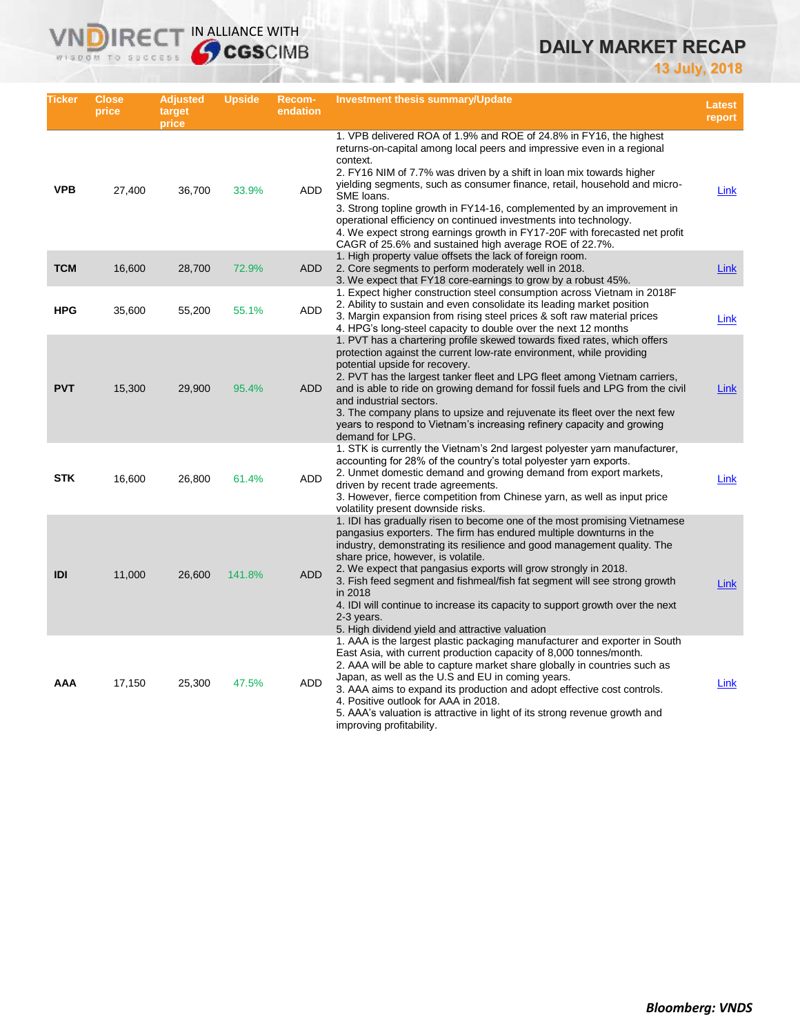# **DAILY MARKET RECAP**

**13 July, 2018**

| Ticker     | Close<br>price | <b>Adjusted</b><br>target<br>price | <b>Upside</b> | <b>Recom-</b><br>endation | Investment thesis summary/Update                                                                                                                                                                                                                                                                                                                                                                                                                                                                                                                                                                                  | Latest<br>report |
|------------|----------------|------------------------------------|---------------|---------------------------|-------------------------------------------------------------------------------------------------------------------------------------------------------------------------------------------------------------------------------------------------------------------------------------------------------------------------------------------------------------------------------------------------------------------------------------------------------------------------------------------------------------------------------------------------------------------------------------------------------------------|------------------|
| <b>VPB</b> | 27,400         | 36,700                             | 33.9%         | <b>ADD</b>                | 1. VPB delivered ROA of 1.9% and ROE of 24.8% in FY16, the highest<br>returns-on-capital among local peers and impressive even in a regional<br>context.<br>2. FY16 NIM of 7.7% was driven by a shift in loan mix towards higher<br>yielding segments, such as consumer finance, retail, household and micro-<br>SME loans.<br>3. Strong topline growth in FY14-16, complemented by an improvement in<br>operational efficiency on continued investments into technology.<br>4. We expect strong earnings growth in FY17-20F with forecasted net profit<br>CAGR of 25.6% and sustained high average ROE of 22.7%. | Link             |
| <b>TCM</b> | 16,600         | 28,700                             | 72.9%         | <b>ADD</b>                | 1. High property value offsets the lack of foreign room.<br>2. Core segments to perform moderately well in 2018.<br>3. We expect that FY18 core-earnings to grow by a robust 45%.                                                                                                                                                                                                                                                                                                                                                                                                                                 | Link             |
| <b>HPG</b> | 35,600         | 55,200                             | 55.1%         | ADD                       | 1. Expect higher construction steel consumption across Vietnam in 2018 F<br>2. Ability to sustain and even consolidate its leading market position<br>3. Margin expansion from rising steel prices & soft raw material prices<br>4. HPG's long-steel capacity to double over the next 12 months                                                                                                                                                                                                                                                                                                                   | Link             |
| <b>PVT</b> | 15,300         | 29,900                             | 95.4%         | <b>ADD</b>                | 1. PVT has a chartering profile skewed towards fixed rates, which offers<br>protection against the current low-rate environment, while providing<br>potential upside for recovery.<br>2. PVT has the largest tanker fleet and LPG fleet among Vietnam carriers,<br>and is able to ride on growing demand for fossil fuels and LPG from the civil<br>and industrial sectors.<br>3. The company plans to upsize and rejuvenate its fleet over the next few<br>years to respond to Vietnam's increasing refinery capacity and growing<br>demand for LPG.                                                             | Link             |
| <b>STK</b> | 16,600         | 26,800                             | 61.4%         | ADD                       | 1. STK is currently the Vietnam's 2nd largest polyester yarn manufacturer,<br>accounting for 28% of the country's total polyester yarn exports.<br>2. Unmet domestic demand and growing demand from export markets,<br>driven by recent trade agreements.<br>3. However, fierce competition from Chinese yarn, as well as input price<br>volatility present downside risks.                                                                                                                                                                                                                                       | Link             |
| <b>IDI</b> | 11,000         | 26,600                             | 141.8%        | <b>ADD</b>                | 1. IDI has gradually risen to become one of the most promising Vietnamese<br>pangasius exporters. The firm has endured multiple downturns in the<br>industry, demonstrating its resilience and good management quality. The<br>share price, however, is volatile.<br>2. We expect that pangasius exports will grow strongly in 2018.<br>3. Fish feed segment and fishmeal/fish fat segment will see strong growth<br>in 2018<br>4. IDI will continue to increase its capacity to support growth over the next<br>2-3 years.<br>5. High dividend yield and attractive valuation                                    | Link             |
| AAA        | 17,150         | 25,300                             | 47.5%         | ADD                       | 1. AAA is the largest plastic packaging manufacturer and exporter in South<br>East Asia, with current production capacity of 8,000 tonnes/month.<br>2. AAA will be able to capture market share globally in countries such as<br>Japan, as well as the U.S and EU in coming years.<br>3. AAA aims to expand its production and adopt effective cost controls.<br>4. Positive outlook for AAA in 2018.<br>5. AAA's valuation is attractive in light of its strong revenue growth and<br>improving profitability.                                                                                                   | Link             |

**VNDIRECT IN ALLIANCE WITH**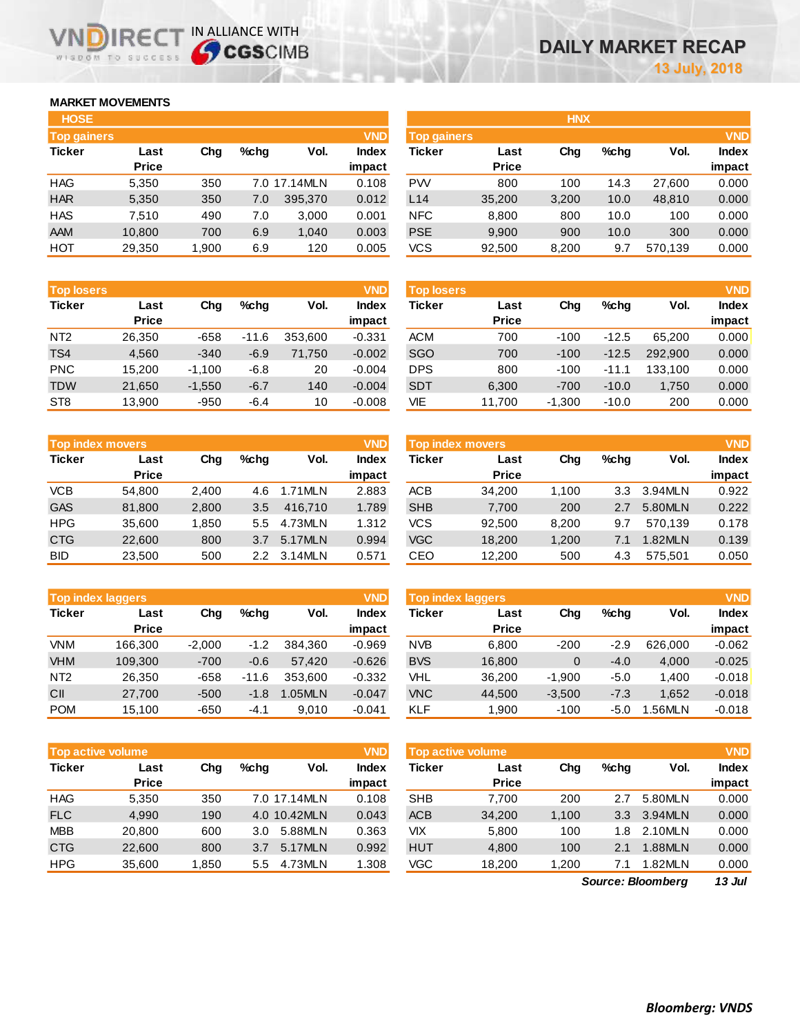# **MARKET MOVEMENTS**

WISDOM TO SUCCESS

IR<sub>E</sub>

| <b>HOSE</b>        |              |       |      |              |              |
|--------------------|--------------|-------|------|--------------|--------------|
| <b>Top gainers</b> |              |       |      |              | <b>VND</b>   |
| <b>Ticker</b>      | Last         | Cha   | %chq | Vol.         | <b>Index</b> |
|                    | <b>Price</b> |       |      |              | impact       |
| HAG                | 5,350        | 350   |      | 7.0 17.14MLN | 0.108        |
| <b>HAR</b>         | 5,350        | 350   | 7.0  | 395,370      | 0.012        |
| HAS                | 7.510        | 490   | 7.0  | 3,000        | 0.001        |
| AAM                | 10,800       | 700   | 6.9  | 1,040        | 0.003        |
| нот                | 29,350       | 1,900 | 6.9  | 120          | 0.005        |

IN ALLIANCE WITH

|              |             |         |         | <b>VND</b>   |            |              |                    |         |            | <b>VND</b>   |
|--------------|-------------|---------|---------|--------------|------------|--------------|--------------------|---------|------------|--------------|
| Last         | Chg         | $%$ chq | Vol.    | <b>Index</b> | Ticker     | Last         | Chg                | $%$ chq | Vol.       | <b>Index</b> |
| <b>Price</b> |             |         |         | impact       |            | <b>Price</b> |                    |         |            | impact       |
| 5,350        | 350         |         |         | 0.108        | <b>PW</b>  | 800          | 100                | 14.3    | 27.600     | 0.000        |
| 5,350        | 350         | 7.0     | 395,370 | 0.012        | L14        | 35,200       | 3,200              | 10.0    | 48,810     | 0.000        |
| 7.510        | 490         | 7.0     | 3,000   | 0.001        | <b>NFC</b> | 8,800        | 800                | 10.0    | 100        | 0.000        |
| 10,800       | 700         | 6.9     | 1,040   | 0.003        | <b>PSE</b> | 9,900        | 900                | 10.0    | 300        | 0.000        |
| 29,350       | 1,900       | 6.9     | 120     | 0.005        | VCS        | 92,500       | 8,200              | 9.7     | 570,139    | 0.000        |
|              | Top gainers |         |         | 7.0 17.14MLN |            |              | <b>Top gainers</b> |         | <b>HNX</b> |              |

|                 | <b>VND</b><br><b>Top losers</b> |          |         |         |              |  |  |  |  |
|-----------------|---------------------------------|----------|---------|---------|--------------|--|--|--|--|
| <b>Ticker</b>   | Last                            | Cha      | %chq    | Vol.    | <b>Index</b> |  |  |  |  |
|                 | <b>Price</b>                    |          |         |         | impact       |  |  |  |  |
| NT <sub>2</sub> | 26,350                          | $-658$   | $-11.6$ | 353,600 | $-0.331$     |  |  |  |  |
| TS4             | 4.560                           | $-340$   | $-6.9$  | 71,750  | $-0.002$     |  |  |  |  |
| <b>PNC</b>      | 15,200                          | $-1,100$ | $-6.8$  | 20      | $-0.004$     |  |  |  |  |
| <b>TDW</b>      | 21,650                          | $-1,550$ | $-6.7$  | 140     | $-0.004$     |  |  |  |  |
| ST <sub>8</sub> | 13.900                          | $-950$   | $-6.4$  | 10      | $-0.008$     |  |  |  |  |

| <b>Top index movers</b> |              |       |         |         |              |  |  |  |  |
|-------------------------|--------------|-------|---------|---------|--------------|--|--|--|--|
| <b>Ticker</b>           | Last         | Cha   | $%$ chq | Vol.    | <b>Index</b> |  |  |  |  |
|                         | <b>Price</b> |       |         |         | impact       |  |  |  |  |
| <b>VCB</b>              | 54,800       | 2,400 | 4.6     | 1.71MLN | 2.883        |  |  |  |  |
| <b>GAS</b>              | 81,800       | 2,800 | 3.5     | 416.710 | 1.789        |  |  |  |  |
| <b>HPG</b>              | 35,600       | 1,850 | 5.5     | 4.73MLN | 1.312        |  |  |  |  |
| <b>CTG</b>              | 22,600       | 800   | 3.7     | 5.17MLN | 0.994        |  |  |  |  |
| <b>BID</b>              | 23,500       | 500   | 2.2     | 3.14MLN | 0.571        |  |  |  |  |

|                 | <b>VND</b><br><b>Top index laggers</b> |          |         |         |              |  |  |  |  |  |  |
|-----------------|----------------------------------------|----------|---------|---------|--------------|--|--|--|--|--|--|
| <b>Ticker</b>   | Last                                   | Cha      | $%$ chq | Vol.    | <b>Index</b> |  |  |  |  |  |  |
|                 | <b>Price</b>                           |          |         |         | impact       |  |  |  |  |  |  |
| VNM             | 166,300                                | $-2,000$ | $-1.2$  | 384,360 | $-0.969$     |  |  |  |  |  |  |
| <b>VHM</b>      | 109,300                                | $-700$   | $-0.6$  | 57,420  | $-0.626$     |  |  |  |  |  |  |
| NT <sub>2</sub> | 26,350                                 | -658     | $-11.6$ | 353.600 | $-0.332$     |  |  |  |  |  |  |
| CII             | 27,700                                 | $-500$   | $-1.8$  | 1.05MLN | $-0.047$     |  |  |  |  |  |  |
| <b>POM</b>      | 15,100                                 | $-650$   | $-4.1$  | 9.010   | $-0.041$     |  |  |  |  |  |  |

| <b>VND</b><br><b>Top active volume</b> |              |       |         |              |              |  |  |  |  |  |
|----------------------------------------|--------------|-------|---------|--------------|--------------|--|--|--|--|--|
| <b>Ticker</b>                          | Last         | Cha   | $%$ chq | Vol.         | <b>Index</b> |  |  |  |  |  |
|                                        | <b>Price</b> |       |         |              | impact       |  |  |  |  |  |
| <b>HAG</b>                             | 5,350        | 350   |         | 7.0 17.14MLN | 0.108        |  |  |  |  |  |
| <b>FLC</b>                             | 4.990        | 190   |         | 4.0 10.42MLN | 0.043        |  |  |  |  |  |
| <b>MBB</b>                             | 20,800       | 600   | 3.0     | 5.88MLN      | 0.363        |  |  |  |  |  |
| <b>CTG</b>                             | 22,600       | 800   | 3.7     | 5.17MLN      | 0.992        |  |  |  |  |  |
| <b>HPG</b>                             | 35,600       | 1,850 | 5.5     | 4.73MLN      | 1.308        |  |  |  |  |  |

| <b>Top losers</b> |                      |          |         |         | <b>VND</b>      | <b>Top losers</b> |                      |          |         |         | <b>VND</b>             |
|-------------------|----------------------|----------|---------|---------|-----------------|-------------------|----------------------|----------|---------|---------|------------------------|
| Ticker            | Last<br><b>Price</b> | Chg      | $%$ chq | Vol.    | Index<br>impact | Ticker            | Last<br><b>Price</b> | Chg      | $%$ chq | Vol.    | <b>Index</b><br>impact |
| NT <sub>2</sub>   | 26.350               | $-658$   | $-11.6$ | 353.600 | $-0.331$        | <b>ACM</b>        | 700                  | $-100$   | $-12.5$ | 65.200  | 0.000                  |
| TS <sub>4</sub>   | 4,560                | $-340$   | $-6.9$  | 71.750  | $-0.002$        | <b>SGO</b>        | 700                  | $-100$   | $-12.5$ | 292.900 | 0.000                  |
| <b>PNC</b>        | 15.200               | $-1.100$ | $-6.8$  | 20      | $-0.004$        | <b>DPS</b>        | 800                  | $-100$   | $-11.1$ | 133.100 | 0.000                  |
| <b>TDW</b>        | 21,650               | $-1,550$ | $-6.7$  | 140     | $-0.004$        | <b>SDT</b>        | 6,300                | $-700$   | $-10.0$ | 1.750   | 0.000                  |
| ST8               | 13.900               | $-950$   | $-6.4$  | 10      | $-0.008$        | VIE               | 11.700               | $-1.300$ | $-10.0$ | 200     | 0.000                  |

| <b>VND</b><br><b>Top index movers</b> |                      |       |      |         |                 | <b>Top index movers</b> |                      |       |         |         | <b>VND</b>             |
|---------------------------------------|----------------------|-------|------|---------|-----------------|-------------------------|----------------------|-------|---------|---------|------------------------|
| Ticker                                | Last<br><b>Price</b> | Chg   | %chq | Vol.    | Index<br>impact | Ticker                  | Last<br><b>Price</b> | Chg   | $%$ chq | Vol.    | <b>Index</b><br>impact |
| VCB                                   | 54.800               | 2.400 | 4.6  | 1.71MLN | 2.883           | <b>ACB</b>              | 34.200               | 1,100 | 3.3     | 3.94MLN | 0.922                  |
| <b>GAS</b>                            | 81.800               | 2,800 | 3.5  | 416.710 | 1.789           | <b>SHB</b>              | 7,700                | 200   | 2.7     | 5.80MLN | 0.222                  |
| <b>HPG</b>                            | 35.600               | 1.850 | 5.5  | 4.73MLN | 1.312           | VCS                     | 92.500               | 8.200 | 9.7     | 570.139 | 0.178                  |
| <b>CTG</b>                            | 22,600               | 800   | 3.7  | 5.17MLN | 0.994           | <b>VGC</b>              | 18.200               | 1.200 | 7.1     | 1.82MLN | 0.139                  |
| BID                                   | 23,500               | 500   | 2.2  | 3.14MLN | 0.571           | CEO                     | 12,200               | 500   | 4.3     | 575.501 | 0.050                  |

|                 | <b>Top index laggers</b> |          |         |               | <b>VND</b>   | <b>Top index laggers</b> |              |          |         |         | <b>VND</b>   |
|-----------------|--------------------------|----------|---------|---------------|--------------|--------------------------|--------------|----------|---------|---------|--------------|
| Ticker          | Last                     | Chg      | $%$ chq | Vol.          | <b>Index</b> | Ticker                   | Last         | Chg      | $%$ chq | Vol.    | <b>Index</b> |
|                 | <b>Price</b>             |          |         |               | impact       |                          | <b>Price</b> |          |         |         | impact       |
| <b>VNM</b>      | 166.300                  | $-2,000$ | $-1.2$  | 384.360       | $-0.969$     | <b>NVB</b>               | 6,800        | $-200$   | $-2.9$  | 626,000 | $-0.062$     |
| <b>VHM</b>      | 109.300                  | $-700$   | $-0.6$  | 57.420        | $-0.626$     | <b>BVS</b>               | 16.800       | 0        | $-4.0$  | 4.000   | $-0.025$     |
| NT <sub>2</sub> | 26.350                   | $-658$   | $-11.6$ | 353.600       | $-0.332$     | VHL                      | 36.200       | $-1.900$ | $-5.0$  | 1.400   | $-0.018$     |
| CII             | 27.700                   | $-500$   | $-1.8$  | <b>.05MLN</b> | $-0.047$     | <b>VNC</b>               | 44,500       | $-3,500$ | $-7.3$  | 1.652   | $-0.018$     |
| <b>POM</b>      | 15.100                   | $-650$   | $-4.1$  | 9.010         | $-0.041$     | <b>KLF</b>               | 1.900        | $-100$   | -5.0    | .56MLN  | $-0.018$     |

|            | <b>VND</b><br><b>Top active volume</b> |       |               |              |              |            | <b>VND</b><br><b>Top active volume</b> |       |                  |         |              |
|------------|----------------------------------------|-------|---------------|--------------|--------------|------------|----------------------------------------|-------|------------------|---------|--------------|
| Ticker     | Last                                   | Chg   | $%$ chq       | Vol.         | <b>Index</b> | Ticker     | Last                                   | Chg   | $%$ chq          | Vol.    | <b>Index</b> |
|            | <b>Price</b>                           |       |               |              | impact       |            | <b>Price</b>                           |       |                  |         | impact       |
| <b>HAG</b> | 5.350                                  | 350   |               | 7.0 17.14MLN | 0.108        | <b>SHB</b> | 7.700                                  | 200   | 2.7              | 5.80MLN | 0.000        |
| <b>FLC</b> | 4.990                                  | 190   |               | 4.0 10.42MLN | 0.043        | <b>ACB</b> | 34,200                                 | 1.100 | 3.3 <sup>°</sup> | 3.94MLN | 0.000        |
| <b>MBB</b> | 20,800                                 | 600   | 3.0           | 5.88MLN      | 0.363        | VIX        | 5.800                                  | 100   | 1.8              | 2.10MLN | 0.000        |
| <b>CTG</b> | 22,600                                 | 800   | 3.7           | 5.17MLN      | 0.992        | <b>HUT</b> | 4,800                                  | 100   | 2.1              | .88MLN  | 0.000        |
| <b>HPG</b> | 35,600                                 | 1,850 | $5.5^{\circ}$ | 4.73MLN      | 1.308        | VGC        | 18,200                                 | 1.200 | 7.1              | 1.82MLN | 0.000        |

*13 Jul Source: Bloomberg*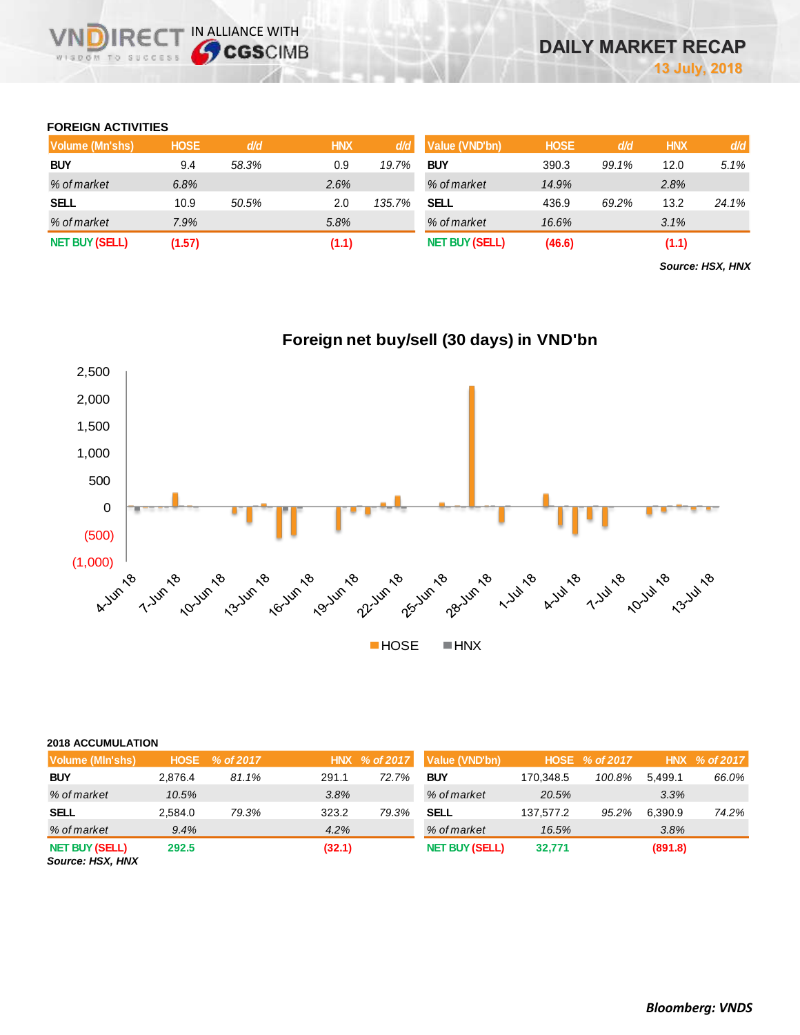#### **FOREIGN ACTIVITIES**

**DIRE** WISDOM TO SUCCESS

IN ALLIANCE WITH

| Volume (Mn'shs)       | <b>HOSE</b> | d/d   | <b>HNX</b> | d/d    | Value (VND'bn)        | <b>HOSE</b> | d/d   | <b>HNX</b> | d/d   |
|-----------------------|-------------|-------|------------|--------|-----------------------|-------------|-------|------------|-------|
| <b>BUY</b>            | 9.4         | 58.3% | 0.9        | 19.7%  | <b>BUY</b>            | 390.3       | 99.1% | 12.0       | 5.1%  |
| % of market           | 6.8%        |       | 2.6%       |        | % of market           | 14.9%       |       | 2.8%       |       |
| <b>SELL</b>           | 10.9        | 50.5% | 2.0        | 135.7% | SELL                  | 436.9       | 69.2% | 13.2       | 24.1% |
| % of market           | 7.9%        |       | 5.8%       |        | % of market           | 16.6%       |       | 3.1%       |       |
| <b>NET BUY (SELL)</b> | (1.57)      |       | (1.1)      |        | <b>NET BUY (SELL)</b> | (46.6)      |       | (1.1)      |       |

*Source: HSX, HNX*



#### **2018 ACCUMULATION**

| Volume (Min'shs)                          | <b>HOSE</b> | % of 2017 |        | HNX % of 2017 | Value (VND'bn)        |           | HOSE % of 2017 |         | HNX % of 2017 |
|-------------------------------------------|-------------|-----------|--------|---------------|-----------------------|-----------|----------------|---------|---------------|
| <b>BUY</b>                                | 2.876.4     | 81.1%     | 291.1  | 72.7%         | <b>BUY</b>            | 170.348.5 | 100.8%         | 5.499.1 | 66.0%         |
| % of market                               | 10.5%       |           | 3.8%   |               | % of market           | 20.5%     |                | 3.3%    |               |
| <b>SELL</b>                               | 2.584.0     | 79.3%     | 323.2  | 79.3%         | SELL                  | 137.577.2 | 95.2%          | 6.390.9 | 74.2%         |
| % of market                               | 9.4%        |           | 4.2%   |               | % of market           | 16.5%     |                | 3.8%    |               |
| <b>NET BUY (SELL)</b><br>Source: HSX, HNX | 292.5       |           | (32.1) |               | <b>NET BUY (SELL)</b> | 32,771    |                | (891.8) |               |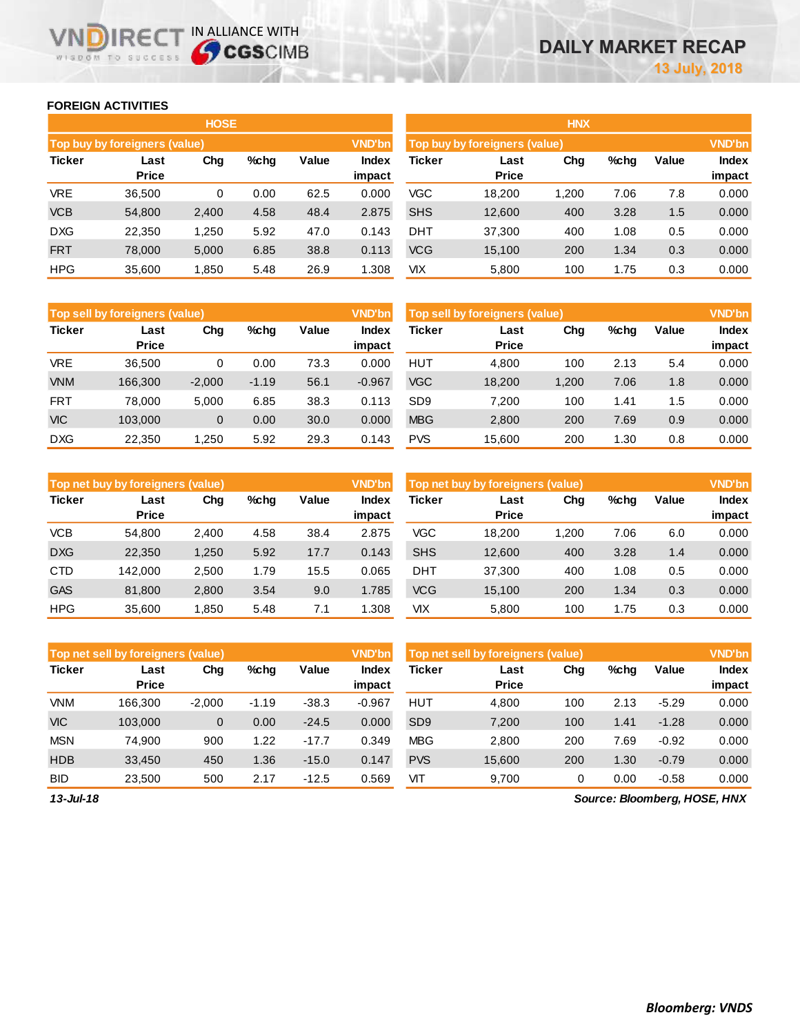#### **FOREIGN ACTIVITIES**

WISDOM TO SUCCESS

VND

**IRECT IN ALLIANCE WITH** 

|               |                               | <b>HOSE</b> |      |       |                 | <b>HNX</b> |                               |       |      |       |                        |
|---------------|-------------------------------|-------------|------|-------|-----------------|------------|-------------------------------|-------|------|-------|------------------------|
|               | Top buy by foreigners (value) |             |      |       | <b>VND'bn</b>   |            | Top buy by foreigners (value) |       |      |       | <b>VND'bn</b>          |
| <b>Ticker</b> | Last<br><b>Price</b>          | Chg         | %chq | Value | Index<br>impact | Ticker     | Last<br><b>Price</b>          | Chg   | %chg | Value | <b>Index</b><br>impact |
| <b>VRE</b>    | 36,500                        | 0           | 0.00 | 62.5  | 0.000           | VGC        | 18,200                        | 1,200 | 7.06 | 7.8   | 0.000                  |
| <b>VCB</b>    | 54,800                        | 2,400       | 4.58 | 48.4  | 2.875           | <b>SHS</b> | 12,600                        | 400   | 3.28 | 1.5   | 0.000                  |
| <b>DXG</b>    | 22,350                        | 1,250       | 5.92 | 47.0  | 0.143           | <b>DHT</b> | 37,300                        | 400   | 1.08 | 0.5   | 0.000                  |
| <b>FRT</b>    | 78,000                        | 5,000       | 6.85 | 38.8  | 0.113           | <b>VCG</b> | 15,100                        | 200   | 1.34 | 0.3   | 0.000                  |
| <b>HPG</b>    | 35,600                        | 1,850       | 5.48 | 26.9  | 1.308           | VIX        | 5,800                         | 100   | 1.75 | 0.3   | 0.000                  |

|               | <b>VND'bn</b><br>Top sell by foreigners (value) |                |         |              |                        |                 | <b>VND'bn</b><br><b>Top sell by foreigners (value)</b> |       |      |       |                        |  |
|---------------|-------------------------------------------------|----------------|---------|--------------|------------------------|-----------------|--------------------------------------------------------|-------|------|-------|------------------------|--|
| <b>Ticker</b> | Last<br><b>Price</b>                            | Chg            | %chg    | <b>Value</b> | <b>Index</b><br>impact | <b>Ticker</b>   | Last<br><b>Price</b>                                   | Chg   | %chg | Value | <b>Index</b><br>impact |  |
| <b>VRE</b>    | 36.500                                          | 0              | 0.00    | 73.3         | 0.000                  | <b>HUT</b>      | 4.800                                                  | 100   | 2.13 | 5.4   | 0.000                  |  |
| <b>VNM</b>    | 166,300                                         | $-2.000$       | $-1.19$ | 56.1         | $-0.967$               | <b>VGC</b>      | 18.200                                                 | 1.200 | 7.06 | 1.8   | 0.000                  |  |
| <b>FRT</b>    | 78.000                                          | 5.000          | 6.85    | 38.3         | 0.113                  | SD <sub>9</sub> | 7.200                                                  | 100   | 1.41 | 1.5   | 0.000                  |  |
| <b>VIC</b>    | 103.000                                         | $\overline{0}$ | 0.00    | 30.0         | 0.000                  | <b>MBG</b>      | 2,800                                                  | 200   | 7.69 | 0.9   | 0.000                  |  |
| <b>DXG</b>    | 22,350                                          | 1,250          | 5.92    | 29.3         | 0.143                  | <b>PVS</b>      | 15.600                                                 | 200   | 1.30 | 0.8   | 0.000                  |  |

|               | <b>VND'bn</b><br>Top net buy by foreigners (value) |       |         |       |                        |            | <b>VND'bn</b><br>Top net buy by foreigners (value) |       |      |       |                 |
|---------------|----------------------------------------------------|-------|---------|-------|------------------------|------------|----------------------------------------------------|-------|------|-------|-----------------|
| <b>Ticker</b> | Last<br><b>Price</b>                               | Chg   | $%$ chq | Value | <b>Index</b><br>impact | Ticker     | Last<br><b>Price</b>                               | Chg   | %chg | Value | Index<br>impact |
| <b>VCB</b>    | 54.800                                             | 2,400 | 4.58    | 38.4  | 2.875                  | VGC        | 18,200                                             | 1.200 | 7.06 | 6.0   | 0.000           |
| <b>DXG</b>    | 22,350                                             | 1,250 | 5.92    | 17.7  | 0.143                  | <b>SHS</b> | 12,600                                             | 400   | 3.28 | 1.4   | 0.000           |
| <b>CTD</b>    | 142.000                                            | 2,500 | 1.79    | 15.5  | 0.065                  | <b>DHT</b> | 37.300                                             | 400   | 1.08 | 0.5   | 0.000           |
| <b>GAS</b>    | 81,800                                             | 2,800 | 3.54    | 9.0   | 1.785                  | <b>VCG</b> | 15,100                                             | 200   | 1.34 | 0.3   | 0.000           |
| <b>HPG</b>    | 35.600                                             | 1.850 | 5.48    | 7.1   | .308                   | VІX        | 5,800                                              | 100   | 1.75 | 0.3   | 0.000           |

|               | Top net sell by foreigners (value) |              |         |         | <b>VND'bn</b>   | Top net sell by foreigners (value) |                      |     |      |         | <b>VND'bn</b>   |
|---------------|------------------------------------|--------------|---------|---------|-----------------|------------------------------------|----------------------|-----|------|---------|-----------------|
| <b>Ticker</b> | Last<br><b>Price</b>               | Chg          | %chq    | Value   | Index<br>impact | Ticker                             | Last<br><b>Price</b> | Chg | %chg | Value   | Index<br>impact |
| <b>VNM</b>    | 166.300                            | $-2.000$     | $-1.19$ | $-38.3$ | $-0.967$        | <b>HUT</b>                         | 4,800                | 100 | 2.13 | $-5.29$ | 0.000           |
| <b>VIC</b>    | 103.000                            | $\mathbf{0}$ | 0.00    | $-24.5$ | 0.000           | SD <sub>9</sub>                    | 7.200                | 100 | 1.41 | $-1.28$ | 0.000           |
| <b>MSN</b>    | 74.900                             | 900          | 1.22    | $-17.7$ | 0.349           | <b>MBG</b>                         | 2,800                | 200 | 7.69 | $-0.92$ | 0.000           |
| <b>HDB</b>    | 33.450                             | 450          | 1.36    | $-15.0$ | 0.147           | <b>PVS</b>                         | 15,600               | 200 | 1.30 | $-0.79$ | 0.000           |
| <b>BID</b>    | 23,500                             | 500          | 2.17    | $-12.5$ | 0.569           | VIT                                | 9,700                | 0   | 0.00 | $-0.58$ | 0.000           |

*13-Jul-18*

*Source: Bloomberg, HOSE, HNX*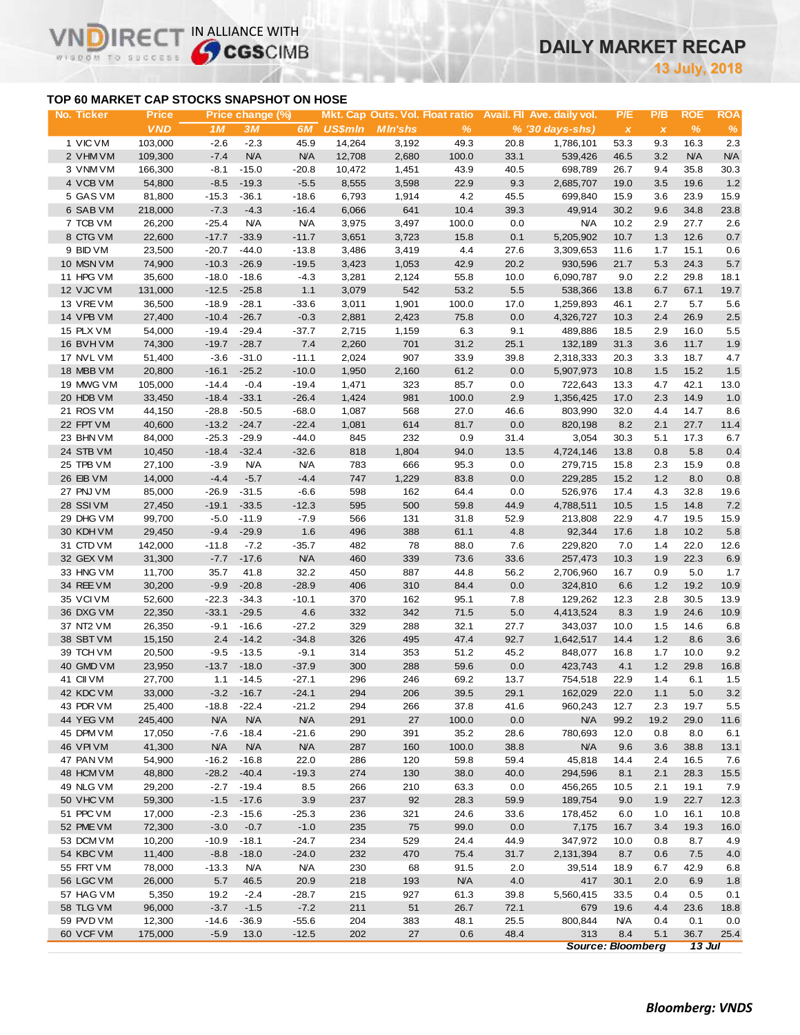# **DAILY MARKET RECAP**

**July, 2018**

### **TOP 60 MARKET CAP STOCKS SNAPSHOT ON HOSE**

VN

IR<sub>E</sub>

WISDOM TO SUCCESS

IN ALLIANCE WITH

| No. Ticker             | <b>Price</b>     |                | Price change (%) |                    |                |                |               |             | Mkt. Cap Outs. Vol. Float ratio Avail. Fil Ave. daily vol. | P/E          | P/B          | <b>ROE</b>  | <b>ROA</b>  |
|------------------------|------------------|----------------|------------------|--------------------|----------------|----------------|---------------|-------------|------------------------------------------------------------|--------------|--------------|-------------|-------------|
|                        | <b>VND</b>       | 1 <sub>M</sub> | 3M               | 6M                 | <b>US\$mln</b> | <b>MIn'shs</b> | $\frac{9}{6}$ |             | $% (30 days-shs)$                                          | $\pmb{\chi}$ | $\pmb{\chi}$ | %           | $\%$        |
| 1 VIC VM               | 103,000          | $-2.6$         | $-2.3$           | 45.9               | 14,264         | 3,192          | 49.3          | 20.8        | 1,786,101                                                  | 53.3         | 9.3          | 16.3        | 2.3         |
| 2 VHM VM               | 109,300          | $-7.4$         | N/A              | <b>N/A</b>         | 12,708         | 2,680          | 100.0         | 33.1        | 539,426                                                    | 46.5         | 3.2          | N/A         | N/A         |
| 3 VNM VM               | 166,300          | $-8.1$         | $-15.0$          | $-20.8$            | 10,472         | 1,451          | 43.9          | 40.5        | 698,789                                                    | 26.7         | 9.4          | 35.8        | 30.3        |
| 4 VCB VM               | 54,800           | $-8.5$         | $-19.3$          | $-5.5$             | 8,555          | 3,598          | 22.9          | 9.3         | 2,685,707                                                  | 19.0         | 3.5          | 19.6        | 1.2         |
| 5 GAS VM               | 81,800           | $-15.3$        | $-36.1$          | $-18.6$            | 6,793          | 1,914          | 4.2           | 45.5        | 699,840                                                    | 15.9         | 3.6          | 23.9        | 15.9        |
| 6 SAB VM               | 218,000          | $-7.3$         | $-4.3$           | $-16.4$            | 6,066          | 641            | 10.4          | 39.3        | 49,914                                                     | 30.2         | 9.6          | 34.8        | 23.8        |
| 7 TCB VM               | 26,200           | $-25.4$        | <b>N/A</b>       | <b>N/A</b>         | 3,975          | 3,497          | 100.0         | 0.0         | <b>N/A</b>                                                 | 10.2         | 2.9          | 27.7        | 2.6         |
| 8 CTG VM               | 22,600           | $-17.7$        | $-33.9$          | $-11.7$            | 3,651          | 3,723          | 15.8          | 0.1         | 5,205,902                                                  | 10.7         | 1.3          | 12.6        | 0.7         |
| 9 BID VM               | 23,500           | $-20.7$        | $-44.0$          | $-13.8$            | 3,486          | 3,419          | 4.4           | 27.6        | 3,309,653                                                  | 11.6         | 1.7          | 15.1        | 0.6         |
| 10 MSN VM              | 74,900           | $-10.3$        | $-26.9$          | $-19.5$            | 3,423          | 1,053          | 42.9          | 20.2        | 930,596                                                    | 21.7         | 5.3          | 24.3        | $5.7\,$     |
| 11 HPG VM              | 35,600           | $-18.0$        | $-18.6$          | $-4.3$             | 3,281          | 2,124          | 55.8          | 10.0        | 6,090,787                                                  | 9.0          | 2.2          | 29.8        | 18.1        |
| 12 VJC VM              | 131,000          | $-12.5$        | $-25.8$          | 1.1                | 3,079          | 542            | 53.2          | 5.5         | 538,366                                                    | 13.8         | 6.7          | 67.1        | 19.7        |
| 13 VREVM               | 36,500           | $-18.9$        | $-28.1$          | $-33.6$            | 3,011          | 1,901          | 100.0         | 17.0        | 1,259,893                                                  | 46.1         | 2.7          | 5.7         | 5.6         |
| 14 VPB VM              | 27,400           | $-10.4$        | $-26.7$          | $-0.3$             | 2,881          | 2,423          | 75.8          | 0.0         | 4,326,727                                                  | 10.3         | 2.4          | 26.9        | $2.5\,$     |
| 15 PLX VM              | 54,000           | $-19.4$        | $-29.4$          | $-37.7$            | 2,715          | 1,159          | 6.3           | 9.1         | 489,886                                                    | 18.5         | 2.9          | 16.0        | 5.5         |
| 16 BVHVM               | 74,300           | $-19.7$        | $-28.7$          | 7.4                | 2,260          | 701            | 31.2          | 25.1        | 132,189                                                    | 31.3         | 3.6          | 11.7        | 1.9         |
| 17 NVL VM              | 51,400           | $-3.6$         | $-31.0$          | $-11.1$            | 2,024          | 907            | 33.9          | 39.8        | 2,318,333                                                  | 20.3         | 3.3          | 18.7        | 4.7         |
| 18 MBB VM              | 20,800           | $-16.1$        | $-25.2$          | $-10.0$            | 1,950          | 2,160          | 61.2          | 0.0         | 5,907,973                                                  | 10.8         | 1.5          | 15.2        | 1.5         |
| 19 MWG VM              | 105,000          | $-14.4$        | $-0.4$           | $-19.4$            | 1,471          | 323            | 85.7          | 0.0         | 722,643                                                    | 13.3         | 4.7          | 42.1        | 13.0        |
| 20 HDB VM              | 33,450           | $-18.4$        | $-33.1$          | $-26.4$            | 1,424          | 981            | 100.0         | 2.9         | 1,356,425                                                  | 17.0         | 2.3          | 14.9        | 1.0         |
| 21 ROS VM              | 44,150           | $-28.8$        | $-50.5$          | $-68.0$            | 1,087          | 568            | 27.0          | 46.6        | 803,990                                                    | 32.0         | 4.4          | 14.7        | 8.6         |
| 22 FPT VM              | 40,600           | $-13.2$        | $-24.7$          | $-22.4$            | 1,081          | 614            | 81.7          | 0.0         | 820,198                                                    | 8.2          | 2.1          | 27.7        | 11.4        |
| 23 BHN VM              | 84,000           | $-25.3$        | $-29.9$          | $-44.0$            | 845            | 232            | 0.9           | 31.4        | 3,054                                                      | 30.3         | 5.1          | 17.3        | 6.7         |
| 24 STB VM              | 10,450           | $-18.4$        | $-32.4$          | $-32.6$            | 818            | 1,804          | 94.0          | 13.5        | 4,724,146                                                  | 13.8         | 0.8          | 5.8         | $0.4\,$     |
| 25 TPB VM              | 27,100           | $-3.9$         | <b>N/A</b>       | <b>N/A</b>         | 783            | 666            | 95.3          | 0.0         | 279,715                                                    | 15.8         | 2.3          | 15.9        | 0.8         |
| 26 EIB VM              | 14,000           | $-4.4$         | $-5.7$           | $-4.4$             | 747            | 1,229          | 83.8          | 0.0         | 229,285                                                    | 15.2         | 1.2          | 8.0         | 0.8         |
| 27 PNJ VM              | 85,000           | $-26.9$        | $-31.5$          | $-6.6$             | 598            | 162            | 64.4          | 0.0         | 526,976                                                    | 17.4         | 4.3          | 32.8        | 19.6        |
| 28 SSIVM               | 27,450           | $-19.1$        | $-33.5$          | $-12.3$            | 595            | 500            | 59.8          | 44.9        | 4,788,511                                                  | 10.5         | 1.5          | 14.8        | 7.2         |
| 29 DHG VM              | 99,700           | $-5.0$         | $-11.9$          | $-7.9$             | 566            | 131            | 31.8          | 52.9        | 213,808                                                    | 22.9         | 4.7          | 19.5        | 15.9        |
| 30 KDH VM              | 29,450           | $-9.4$         | $-29.9$          | 1.6                | 496            | 388            | 61.1          | 4.8         | 92,344                                                     | 17.6         | 1.8          | 10.2        | 5.8         |
| 31 CTD VM              | 142,000          | $-11.8$        | $-7.2$           | $-35.7$            | 482            | 78<br>339      | 88.0          | 7.6         | 229,820                                                    | 7.0          | 1.4          | 22.0        | 12.6        |
| 32 GEX VM              | 31,300           | $-7.7$         | $-17.6$          | <b>N/A</b><br>32.2 | 460            |                | 73.6          | 33.6        | 257,473                                                    | 10.3         | 1.9          | 22.3        | 6.9         |
| 33 HNG VM<br>34 REE VM | 11,700<br>30,200 | 35.7<br>$-9.9$ | 41.8<br>$-20.8$  | $-28.9$            | 450<br>406     | 887<br>310     | 44.8<br>84.4  | 56.2<br>0.0 | 2,706,960<br>324,810                                       | 16.7<br>6.6  | 0.9<br>1.2   | 5.0<br>19.2 | 1.7<br>10.9 |
| 35 VCIVM               | 52,600           | $-22.3$        | $-34.3$          | $-10.1$            | 370            | 162            | 95.1          | 7.8         | 129,262                                                    | 12.3         | 2.8          | 30.5        | 13.9        |
| 36 DXG VM              | 22,350           | $-33.1$        | $-29.5$          | 4.6                | 332            | 342            | 71.5          | 5.0         | 4,413,524                                                  | 8.3          | 1.9          | 24.6        | 10.9        |
| 37 NT2 VM              | 26,350           | $-9.1$         | $-16.6$          | $-27.2$            | 329            | 288            | 32.1          | 27.7        | 343,037                                                    | 10.0         | 1.5          | 14.6        | 6.8         |
| 38 SBT VM              | 15,150           | 2.4            | $-14.2$          | $-34.8$            | 326            | 495            | 47.4          | 92.7        | 1,642,517                                                  | 14.4         | $1.2$        | 8.6         | 3.6         |
| 39 TCH VM              | 20,500           | $-9.5$         | $-13.5$          | $-9.1$             | 314            | 353            | 51.2          | 45.2        | 848,077                                                    | 16.8         | 1.7          | 10.0        | 9.2         |
| 40 GMD VM              | 23,950           | $-13.7$        | $-18.0$          | $-37.9$            | 300            | 288            | 59.6          | 0.0         | 423,743                                                    | 4.1          | 1.2          | 29.8        | 16.8        |
| 41 CII VM              | 27,700           | 1.1            | $-14.5$          | $-27.1$            | 296            | 246            | 69.2          | 13.7        | 754,518                                                    | 22.9         | 1.4          | 6.1         | 1.5         |
| 42 KDC VM              | 33.000           |                | $-3.2 - 16.7$    | $-24.1$            | 294            | 206            | 39.5          | 29.1        | 162,029                                                    | 22.0         | 1.1          | 5.0         | 3.2         |
| 43 PDR VM              | 25,400           | $-18.8$        | $-22.4$          | $-21.2$            | 294            | 266            | 37.8          | 41.6        | 960,243                                                    | 12.7         | 2.3          | 19.7        | 5.5         |
| 44 YEG VM              | 245,400          | <b>N/A</b>     | <b>N/A</b>       | <b>N/A</b>         | 291            | 27             | 100.0         | 0.0         | <b>N/A</b>                                                 | 99.2         | 19.2         | 29.0        | 11.6        |
| 45 DPM VM              | 17,050           | $-7.6$         | $-18.4$          | $-21.6$            | 290            | 391            | 35.2          | 28.6        | 780,693                                                    | 12.0         | 0.8          | 8.0         | 6.1         |
| 46 VPIVM               | 41,300           | <b>N/A</b>     | <b>N/A</b>       | <b>N/A</b>         | 287            | 160            | 100.0         | 38.8        | <b>N/A</b>                                                 | 9.6          | 3.6          | 38.8        | 13.1        |
| 47 PAN VM              | 54,900           | $-16.2$        | $-16.8$          | 22.0               | 286            | 120            | 59.8          | 59.4        | 45,818                                                     | 14.4         | 2.4          | 16.5        | 7.6         |
| 48 HCM VM              | 48,800           | $-28.2$        | $-40.4$          | $-19.3$            | 274            | 130            | 38.0          | 40.0        | 294,596                                                    | 8.1          | 2.1          | 28.3        | 15.5        |
| 49 NLG VM              | 29,200           | $-2.7$         | $-19.4$          | 8.5                | 266            | 210            | 63.3          | 0.0         | 456,265                                                    | 10.5         | 2.1          | 19.1        | 7.9         |
| 50 VHC VM              | 59,300           | $-1.5$         | $-17.6$          | 3.9                | 237            | 92             | 28.3          | 59.9        | 189,754                                                    | 9.0          | 1.9          | 22.7        | 12.3        |
| 51 PPC VM              | 17,000           | $-2.3$         | $-15.6$          | $-25.3$            | 236            | 321            | 24.6          | 33.6        | 178,452                                                    | 6.0          | 1.0          | 16.1        | 10.8        |
| 52 PME VM              | 72,300           | $-3.0$         | $-0.7$           | $-1.0$             | 235            | 75             | 99.0          | 0.0         | 7,175                                                      | 16.7         | 3.4          | 19.3        | 16.0        |
| 53 DCM VM              | 10,200           | $-10.9$        | $-18.1$          | $-24.7$            | 234            | 529            | 24.4          | 44.9        | 347,972                                                    | 10.0         | 0.8          | 8.7         | 4.9         |
| 54 KBC VM              | 11,400           | $-8.8$         | $-18.0$          | $-24.0$            | 232            | 470            | 75.4          | 31.7        | 2,131,394                                                  | 8.7          | 0.6          | 7.5         | $4.0$       |
| 55 FRT VM              | 78,000           | $-13.3$        | N/A              | <b>N/A</b>         | 230            | 68             | 91.5          | 2.0         | 39,514                                                     | 18.9         | 6.7          | 42.9        | 6.8         |
| 56 LGC VM              | 26,000           | 5.7            | 46.5             | 20.9               | 218            | 193            | <b>N/A</b>    | 4.0         | 417                                                        | 30.1         | 2.0          | 6.9         | 1.8         |
| 57 HAG VM              | 5,350            | 19.2           | $-2.4$           | $-28.7$            | 215            | 927            | 61.3          | 39.8        | 5,560,415                                                  | 33.5         | 0.4          | 0.5         | 0.1         |
| 58 TLG VM              | 96,000           | $-3.7$         | $-1.5$           | $-7.2$             | 211            | 51             | 26.7          | 72.1        | 679                                                        | 19.6         | 4.4          | 23.6        | 18.8        |
| 59 PVD VM              | 12,300           | $-14.6$        | $-36.9$          | $-55.6$            | 204            | 383            | 48.1          | 25.5        | 800,844                                                    | <b>N/A</b>   | 0.4          | 0.1         | 0.0         |
| 60 VCF VM              | 175,000          | $-5.9$         | 13.0             | $-12.5$            | 202            | 27             | 0.6           | 48.4        | 313                                                        | 8.4          | 5.1          | 36.7        | 25.4        |
|                        |                  |                |                  |                    |                |                |               |             | <b>Source: Bloomberg</b>                                   |              |              | $13$ Jul    |             |